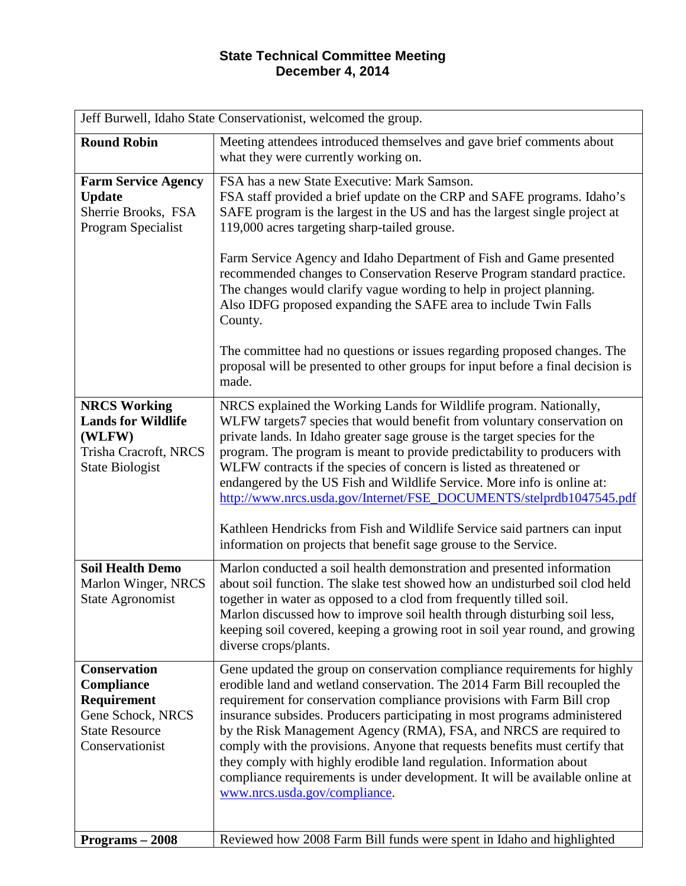## **State Technical Committee Meeting December 4, 2014**

| Jeff Burwell, Idaho State Conservationist, welcomed the group.                                                    |                                                                                                                                                                                                                                                                                                                                                                                                                                                                                                                                                                                                                                                                                   |
|-------------------------------------------------------------------------------------------------------------------|-----------------------------------------------------------------------------------------------------------------------------------------------------------------------------------------------------------------------------------------------------------------------------------------------------------------------------------------------------------------------------------------------------------------------------------------------------------------------------------------------------------------------------------------------------------------------------------------------------------------------------------------------------------------------------------|
| <b>Round Robin</b>                                                                                                | Meeting attendees introduced themselves and gave brief comments about<br>what they were currently working on.                                                                                                                                                                                                                                                                                                                                                                                                                                                                                                                                                                     |
| <b>Farm Service Agency</b><br><b>Update</b><br>Sherrie Brooks, FSA<br>Program Specialist                          | FSA has a new State Executive: Mark Samson.<br>FSA staff provided a brief update on the CRP and SAFE programs. Idaho's<br>SAFE program is the largest in the US and has the largest single project at<br>119,000 acres targeting sharp-tailed grouse.                                                                                                                                                                                                                                                                                                                                                                                                                             |
|                                                                                                                   | Farm Service Agency and Idaho Department of Fish and Game presented<br>recommended changes to Conservation Reserve Program standard practice.<br>The changes would clarify vague wording to help in project planning.<br>Also IDFG proposed expanding the SAFE area to include Twin Falls<br>County.                                                                                                                                                                                                                                                                                                                                                                              |
|                                                                                                                   | The committee had no questions or issues regarding proposed changes. The<br>proposal will be presented to other groups for input before a final decision is<br>made.                                                                                                                                                                                                                                                                                                                                                                                                                                                                                                              |
| <b>NRCS Working</b><br><b>Lands for Wildlife</b><br>(WLFW)<br>Trisha Cracroft, NRCS<br><b>State Biologist</b>     | NRCS explained the Working Lands for Wildlife program. Nationally,<br>WLFW targets7 species that would benefit from voluntary conservation on<br>private lands. In Idaho greater sage grouse is the target species for the<br>program. The program is meant to provide predictability to producers with<br>WLFW contracts if the species of concern is listed as threatened or<br>endangered by the US Fish and Wildlife Service. More info is online at:<br>http://www.nrcs.usda.gov/Internet/FSE_DOCUMENTS/stelprdb1047545.pdf<br>Kathleen Hendricks from Fish and Wildlife Service said partners can input<br>information on projects that benefit sage grouse to the Service. |
| <b>Soil Health Demo</b><br>Marlon Winger, NRCS<br><b>State Agronomist</b>                                         | Marlon conducted a soil health demonstration and presented information<br>about soil function. The slake test showed how an undisturbed soil clod held<br>together in water as opposed to a clod from frequently tilled soil.<br>Marlon discussed how to improve soil health through disturbing soil less,<br>keeping soil covered, keeping a growing root in soil year round, and growing<br>diverse crops/plants.                                                                                                                                                                                                                                                               |
| <b>Conservation</b><br>Compliance<br>Requirement<br>Gene Schock, NRCS<br><b>State Resource</b><br>Conservationist | Gene updated the group on conservation compliance requirements for highly<br>erodible land and wetland conservation. The 2014 Farm Bill recoupled the<br>requirement for conservation compliance provisions with Farm Bill crop<br>insurance subsides. Producers participating in most programs administered<br>by the Risk Management Agency (RMA), FSA, and NRCS are required to<br>comply with the provisions. Anyone that requests benefits must certify that<br>they comply with highly erodible land regulation. Information about<br>compliance requirements is under development. It will be available online at<br>www.nrcs.usda.gov/compliance.                         |
| Programs - 2008                                                                                                   | Reviewed how 2008 Farm Bill funds were spent in Idaho and highlighted                                                                                                                                                                                                                                                                                                                                                                                                                                                                                                                                                                                                             |